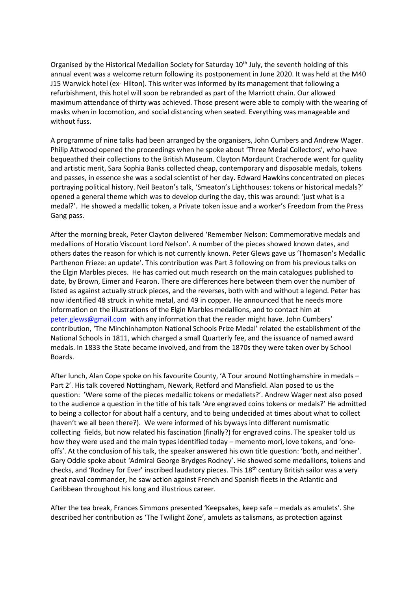Organised by the Historical Medallion Society for Saturday 10<sup>th</sup> July, the seventh holding of this annual event was a welcome return following its postponement in June 2020. It was held at the M40 J15 Warwick hotel (ex- Hilton). This writer was informed by its management that following a refurbishment, this hotel will soon be rebranded as part of the Marriott chain. Our allowed maximum attendance of thirty was achieved. Those present were able to comply with the wearing of masks when in locomotion, and social distancing when seated. Everything was manageable and without fuss.

A programme of nine talks had been arranged by the organisers, John Cumbers and Andrew Wager. Philip Attwood opened the proceedings when he spoke about 'Three Medal Collectors', who have bequeathed their collections to the British Museum. Clayton Mordaunt Cracherode went for quality and artistic merit, Sara Sophia Banks collected cheap, contemporary and disposable medals, tokens and passes, in essence she was a social scientist of her day. Edward Hawkins concentrated on pieces portraying political history. Neil Beaton's talk, 'Smeaton's Lighthouses: tokens or historical medals?' opened a general theme which was to develop during the day, this was around: 'just what is a medal?'. He showed a medallic token, a Private token issue and a worker's Freedom from the Press Gang pass.

After the morning break, Peter Clayton delivered 'Remember Nelson: Commemorative medals and medallions of Horatio Viscount Lord Nelson'. A number of the pieces showed known dates, and others dates the reason for which is not currently known. Peter Glews gave us 'Thomason's Medallic Parthenon Frieze: an update'. This contribution was Part 3 following on from his previous talks on the Elgin Marbles pieces. He has carried out much research on the main catalogues published to date, by Brown, Eimer and Fearon. There are differences here between them over the number of listed as against actually struck pieces, and the reverses, both with and without a legend. Peter has now identified 48 struck in white metal, and 49 in copper. He announced that he needs more information on the illustrations of the Elgin Marbles medallions, and to contact him at [peter.glews@gmail.com](mailto:peter.glews@gmail.com) with any information that the reader might have. John Cumbers' contribution, 'The Minchinhampton National Schools Prize Medal' related the establishment of the National Schools in 1811, which charged a small Quarterly fee, and the issuance of named award medals. In 1833 the State became involved, and from the 1870s they were taken over by School Boards.

After lunch, Alan Cope spoke on his favourite County, 'A Tour around Nottinghamshire in medals – Part 2'. His talk covered Nottingham, Newark, Retford and Mansfield. Alan posed to us the question: 'Were some of the pieces medallic tokens or medallets?'. Andrew Wager next also posed to the audience a question in the title of his talk 'Are engraved coins tokens or medals?' He admitted to being a collector for about half a century, and to being undecided at times about what to collect (haven't we all been there?). We were informed of his byways into different numismatic collecting fields, but now related his fascination (finally?) for engraved coins. The speaker told us how they were used and the main types identified today – memento mori, love tokens, and 'oneoffs'. At the conclusion of his talk, the speaker answered his own title question: 'both, and neither'. Gary Oddie spoke about 'Admiral George Brydges Rodney'. He showed some medallions, tokens and checks, and 'Rodney for Ever' inscribed laudatory pieces. This 18th century British sailor was a very great naval commander, he saw action against French and Spanish fleets in the Atlantic and Caribbean throughout his long and illustrious career.

After the tea break, Frances Simmons presented 'Keepsakes, keep safe – medals as amulets'. She described her contribution as 'The Twilight Zone', amulets as talismans, as protection against